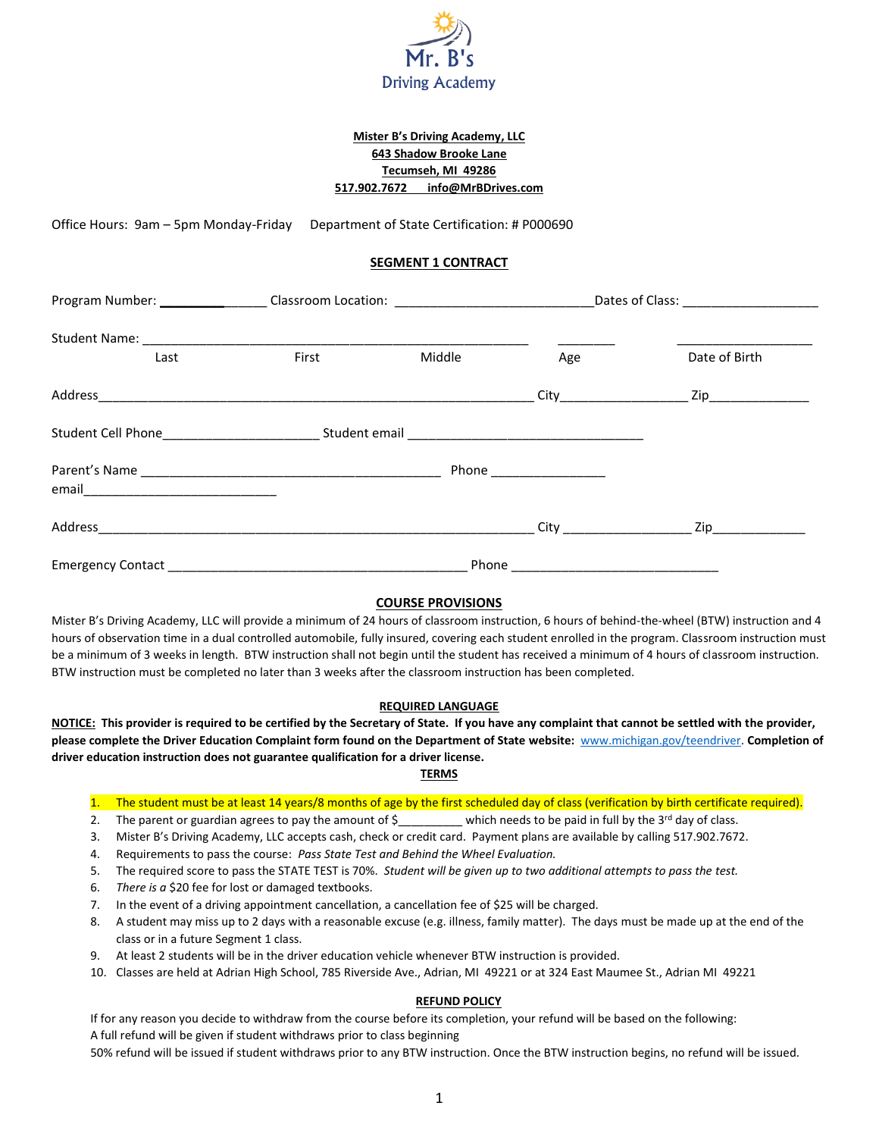

# **Mister B's Driving Academy, LLC 643 Shadow Brooke Lane Tecumseh, MI 49286 517.902.7672 info@MrBDrives.com**

Office Hours: 9am – 5pm Monday-Friday Department of State Certification: # P000690

## **SEGMENT 1 CONTRACT**

|      | Program Number: ___________________Classroom Location: _________________________ |        |     |               |
|------|----------------------------------------------------------------------------------|--------|-----|---------------|
|      |                                                                                  |        |     |               |
| Last | First                                                                            | Middle | Age | Date of Birth |
|      |                                                                                  |        |     |               |
|      |                                                                                  |        |     |               |
|      | Phone ___________________                                                        |        |     |               |
|      |                                                                                  |        |     |               |
|      |                                                                                  |        |     |               |
|      |                                                                                  |        |     |               |

### **COURSE PROVISIONS**

Mister B's Driving Academy, LLC will provide a minimum of 24 hours of classroom instruction, 6 hours of behind-the-wheel (BTW) instruction and 4 hours of observation time in a dual controlled automobile, fully insured, covering each student enrolled in the program. Classroom instruction must be a minimum of 3 weeks in length. BTW instruction shall not begin until the student has received a minimum of 4 hours of classroom instruction. BTW instruction must be completed no later than 3 weeks after the classroom instruction has been completed.

### **REQUIRED LANGUAGE**

**NOTICE: This provider is required to be certified by the Secretary of State. If you have any complaint that cannot be settled with the provider, please complete the Driver Education Complaint form found on the Department of State website:** [www.michigan.gov/teendriver.](http://www.michigan.gov/teendriver) **Completion of driver education instruction does not guarantee qualification for a driver license.**

### **TERMS**

- 1. The student must be at least 14 years/8 months of age by the first scheduled day of class (verification by birth certificate required).
- 2. The parent or guardian agrees to pay the amount of  $\zeta$  \_\_\_\_\_\_\_\_ which needs to be paid in full by the 3<sup>rd</sup> day of class.
- 3. Mister B's Driving Academy, LLC accepts cash, check or credit card. Payment plans are available by calling 517.902.7672.
- 4. Requirements to pass the course: *Pass State Test and Behind the Wheel Evaluation.*
- 5. The required score to pass the STATE TEST is 70%. *Student will be given up to two additional attempts to pass the test.*
- 6. *There is a* \$20 fee for lost or damaged textbooks.
- 7. In the event of a driving appointment cancellation, a cancellation fee of \$25 will be charged.
- 8. A student may miss up to 2 days with a reasonable excuse (e.g. illness, family matter). The days must be made up at the end of the class or in a future Segment 1 class.
- 9. At least 2 students will be in the driver education vehicle whenever BTW instruction is provided.
- 10. Classes are held at Adrian High School, 785 Riverside Ave., Adrian, MI 49221 or at 324 East Maumee St., Adrian MI 49221

### **REFUND POLICY**

If for any reason you decide to withdraw from the course before its completion, your refund will be based on the following: A full refund will be given if student withdraws prior to class beginning

50% refund will be issued if student withdraws prior to any BTW instruction. Once the BTW instruction begins, no refund will be issued.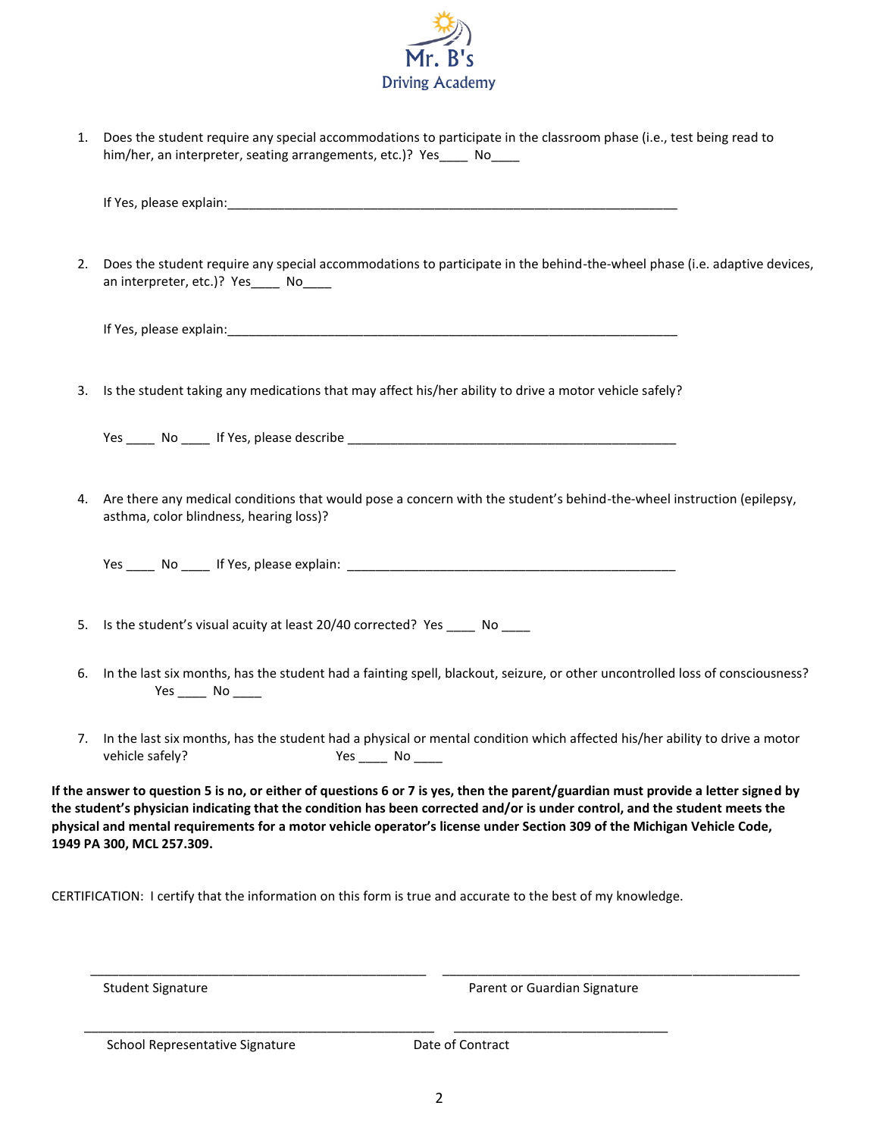

1. Does the student require any special accommodations to participate in the classroom phase (i.e., test being read to him/her, an interpreter, seating arrangements, etc.)? Yes\_\_\_\_ No\_\_\_\_

|    | If Yes, please explain: example and a series of the series of the series of the series of the series of the series of the series of the series of the series of the series of the series of the series of the series of the se                                                                                                                                                                                           |
|----|--------------------------------------------------------------------------------------------------------------------------------------------------------------------------------------------------------------------------------------------------------------------------------------------------------------------------------------------------------------------------------------------------------------------------|
| 2. | Does the student require any special accommodations to participate in the behind-the-wheel phase (i.e. adaptive devices,<br>an interpreter, etc.)? Yes ______ No_____                                                                                                                                                                                                                                                    |
|    |                                                                                                                                                                                                                                                                                                                                                                                                                          |
| 3. | Is the student taking any medications that may affect his/her ability to drive a motor vehicle safely?                                                                                                                                                                                                                                                                                                                   |
|    |                                                                                                                                                                                                                                                                                                                                                                                                                          |
| 4. | Are there any medical conditions that would pose a concern with the student's behind-the-wheel instruction (epilepsy,<br>asthma, color blindness, hearing loss)?                                                                                                                                                                                                                                                         |
| 5. | Is the student's visual acuity at least 20/40 corrected? Yes _____ No ____                                                                                                                                                                                                                                                                                                                                               |
| 6. | In the last six months, has the student had a fainting spell, blackout, seizure, or other uncontrolled loss of consciousness?<br>Yes $\rule{1em}{0.15mm}$ No $\rule{1em}{0.15mm}$                                                                                                                                                                                                                                        |
| 7. | In the last six months, has the student had a physical or mental condition which affected his/her ability to drive a motor<br>vehicle safely?<br>Yes ______ No _____                                                                                                                                                                                                                                                     |
|    | If the answer to question 5 is no, or either of questions 6 or 7 is yes, then the parent/guardian must provide a letter signed by<br>the student's physician indicating that the condition has been corrected and/or is under control, and the student meets the<br>physical and mental requirements for a motor vehicle operator's license under Section 309 of the Michigan Vehicle Code,<br>1949 PA 300, MCL 257.309. |

CERTIFICATION: I certify that the information on this form is true and accurate to the best of my knowledge.

\_\_\_\_\_\_\_\_\_\_\_\_\_\_\_\_\_\_\_\_\_\_\_\_\_\_\_\_\_\_\_\_\_\_\_\_\_\_\_\_\_\_\_\_\_\_\_\_\_ \_\_\_\_\_\_\_\_\_\_\_\_\_\_\_\_\_\_\_\_\_\_\_\_\_\_\_\_\_\_

Student Signature **Parent or Guardian Signature** Parent or Guardian Signature

School Representative Signature **Date of Contract** 

\_\_\_\_\_\_\_\_\_\_\_\_\_\_\_\_\_\_\_\_\_\_\_\_\_\_\_\_\_\_\_\_\_\_\_\_\_\_\_\_\_\_\_\_\_\_\_ \_\_\_\_\_\_\_\_\_\_\_\_\_\_\_\_\_\_\_\_\_\_\_\_\_\_\_\_\_\_\_\_\_\_\_\_\_\_\_\_\_\_\_\_\_\_\_\_\_\_